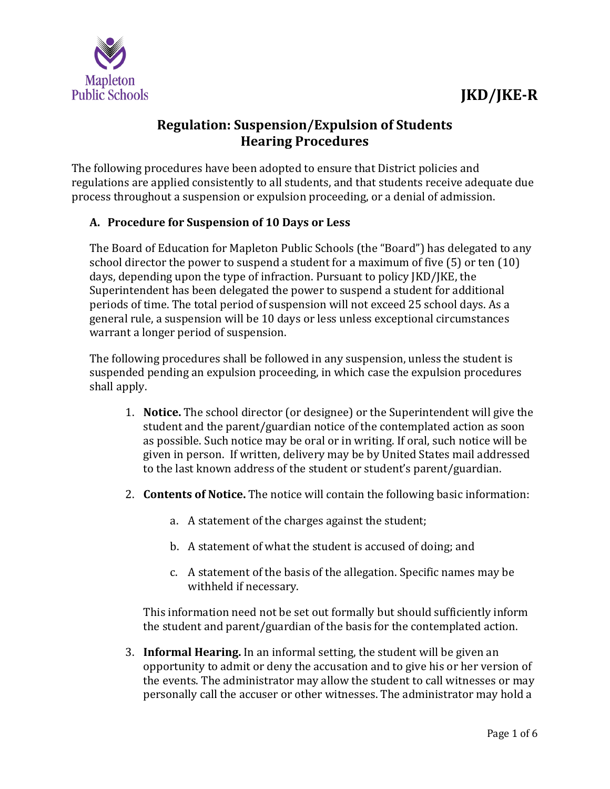



## **Regulation: Suspension/Expulsion of Students Hearing Procedures**

The following procedures have been adopted to ensure that District policies and regulations are applied consistently to all students, and that students receive adequate due process throughout a suspension or expulsion proceeding, or a denial of admission.

## **A. Procedure for Suspension of 10 Days or Less**

The Board of Education for Mapleton Public Schools (the "Board") has delegated to any school director the power to suspend a student for a maximum of five (5) or ten (10) days, depending upon the type of infraction. Pursuant to policy JKD/JKE, the Superintendent has been delegated the power to suspend a student for additional periods of time. The total period of suspension will not exceed 25 school days. As a general rule, a suspension will be 10 days or less unless exceptional circumstances warrant a longer period of suspension.

The following procedures shall be followed in any suspension, unless the student is suspended pending an expulsion proceeding, in which case the expulsion procedures shall apply.

- 1. **Notice.** The school director (or designee) or the Superintendent will give the student and the parent/guardian notice of the contemplated action as soon as possible. Such notice may be oral or in writing. If oral, such notice will be given in person. If written, delivery may be by United States mail addressed to the last known address of the student or student's parent/guardian.
- 2. **Contents of Notice.** The notice will contain the following basic information:
	- a. A statement of the charges against the student;
	- b. A statement of what the student is accused of doing; and
	- c. A statement of the basis of the allegation. Specific names may be withheld if necessary.

This information need not be set out formally but should sufficiently inform the student and parent/guardian of the basis for the contemplated action.

3. **Informal Hearing.** In an informal setting, the student will be given an opportunity to admit or deny the accusation and to give his or her version of the events. The administrator may allow the student to call witnesses or may personally call the accuser or other witnesses. The administrator may hold a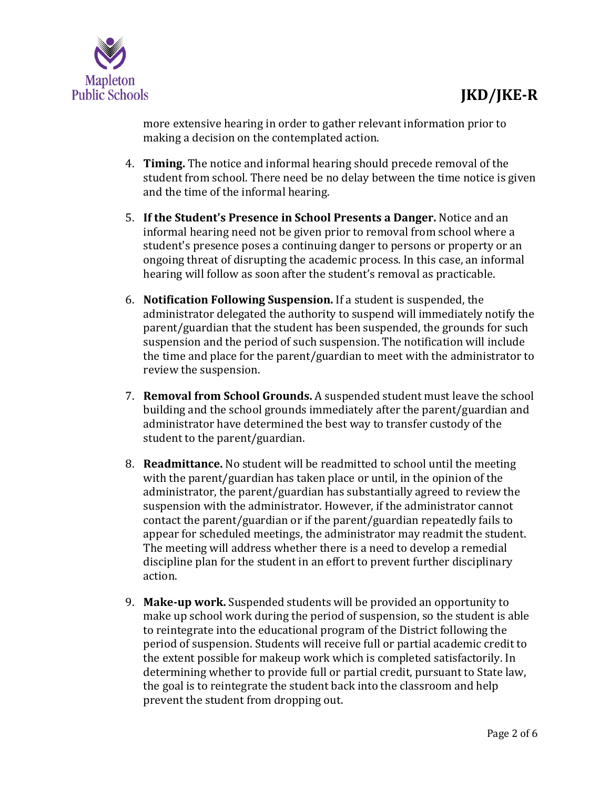

more extensive hearing in order to gather relevant information prior to making a decision on the contemplated action.

- 4. **Timing.** The notice and informal hearing should precede removal of the student from school. There need be no delay between the time notice is given and the time of the informal hearing.
- 5. **If the Student's Presence in School Presents a Danger.** Notice and an informal hearing need not be given prior to removal from school where a student's presence poses a continuing danger to persons or property or an ongoing threat of disrupting the academic process. In this case, an informal hearing will follow as soon after the student's removal as practicable.
- 6. **Notification Following Suspension.** If a student is suspended, the administrator delegated the authority to suspend will immediately notify the parent/guardian that the student has been suspended, the grounds for such suspension and the period of such suspension. The notification will include the time and place for the parent/guardian to meet with the administrator to review the suspension.
- 7. **Removal from School Grounds.** A suspended student must leave the school building and the school grounds immediately after the parent/guardian and administrator have determined the best way to transfer custody of the student to the parent/guardian.
- 8. **Readmittance.** No student will be readmitted to school until the meeting with the parent/guardian has taken place or until, in the opinion of the administrator, the parent/guardian has substantially agreed to review the suspension with the administrator. However, if the administrator cannot contact the parent/guardian or if the parent/guardian repeatedly fails to appear for scheduled meetings, the administrator may readmit the student. The meeting will address whether there is a need to develop a remedial discipline plan for the student in an effort to prevent further disciplinary action.
- 9. **Make-up work.** Suspended students will be provided an opportunity to make up school work during the period of suspension, so the student is able to reintegrate into the educational program of the District following the period of suspension. Students will receive full or partial academic credit to the extent possible for makeup work which is completed satisfactorily. In determining whether to provide full or partial credit, pursuant to State law, the goal is to reintegrate the student back into the classroom and help prevent the student from dropping out.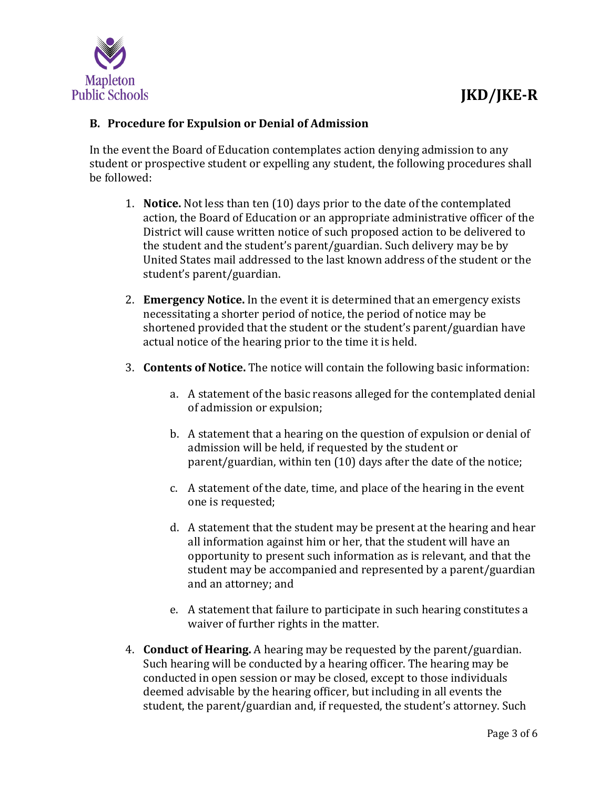## **B. Procedure for Expulsion or Denial of Admission**

In the event the Board of Education contemplates action denying admission to any student or prospective student or expelling any student, the following procedures shall be followed:

- 1. **Notice.** Not less than ten (10) days prior to the date of the contemplated action, the Board of Education or an appropriate administrative officer of the District will cause written notice of such proposed action to be delivered to the student and the student's parent/guardian. Such delivery may be by United States mail addressed to the last known address of the student or the student's parent/guardian.
- 2. **Emergency Notice.** In the event it is determined that an emergency exists necessitating a shorter period of notice, the period of notice may be shortened provided that the student or the student's parent/guardian have actual notice of the hearing prior to the time it is held.
- 3. **Contents of Notice.** The notice will contain the following basic information:
	- a. A statement of the basic reasons alleged for the contemplated denial of admission or expulsion;
	- b. A statement that a hearing on the question of expulsion or denial of admission will be held, if requested by the student or parent/guardian, within ten (10) days after the date of the notice;
	- c. A statement of the date, time, and place of the hearing in the event one is requested;
	- d. A statement that the student may be present at the hearing and hear all information against him or her, that the student will have an opportunity to present such information as is relevant, and that the student may be accompanied and represented by a parent/guardian and an attorney; and
	- e. A statement that failure to participate in such hearing constitutes a waiver of further rights in the matter.
- 4. **Conduct of Hearing.** A hearing may be requested by the parent/guardian. Such hearing will be conducted by a hearing officer. The hearing may be conducted in open session or may be closed, except to those individuals deemed advisable by the hearing officer, but including in all events the student, the parent/guardian and, if requested, the student's attorney. Such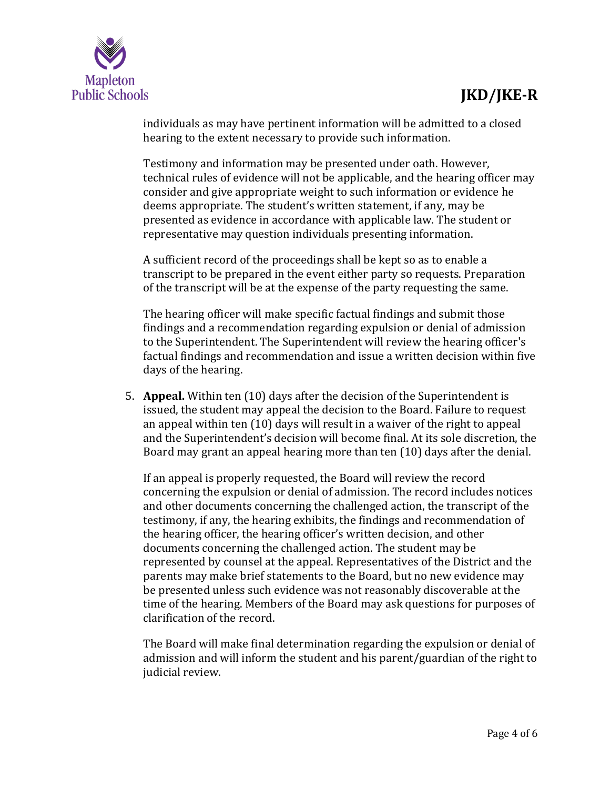

individuals as may have pertinent information will be admitted to a closed hearing to the extent necessary to provide such information.

Testimony and information may be presented under oath. However, technical rules of evidence will not be applicable, and the hearing officer may consider and give appropriate weight to such information or evidence he deems appropriate. The student's written statement, if any, may be presented as evidence in accordance with applicable law. The student or representative may question individuals presenting information.

A sufficient record of the proceedings shall be kept so as to enable a transcript to be prepared in the event either party so requests. Preparation of the transcript will be at the expense of the party requesting the same.

The hearing officer will make specific factual findings and submit those findings and a recommendation regarding expulsion or denial of admission to the Superintendent. The Superintendent will review the hearing officer's factual findings and recommendation and issue a written decision within five days of the hearing.

5. **Appeal.** Within ten (10) days after the decision of the Superintendent is issued, the student may appeal the decision to the Board. Failure to request an appeal within ten (10) days will result in a waiver of the right to appeal and the Superintendent's decision will become final. At its sole discretion, the Board may grant an appeal hearing more than ten (10) days after the denial.

If an appeal is properly requested, the Board will review the record concerning the expulsion or denial of admission. The record includes notices and other documents concerning the challenged action, the transcript of the testimony, if any, the hearing exhibits, the findings and recommendation of the hearing officer, the hearing officer's written decision, and other documents concerning the challenged action. The student may be represented by counsel at the appeal. Representatives of the District and the parents may make brief statements to the Board, but no new evidence may be presented unless such evidence was not reasonably discoverable at the time of the hearing. Members of the Board may ask questions for purposes of clarification of the record.

The Board will make final determination regarding the expulsion or denial of admission and will inform the student and his parent/guardian of the right to judicial review.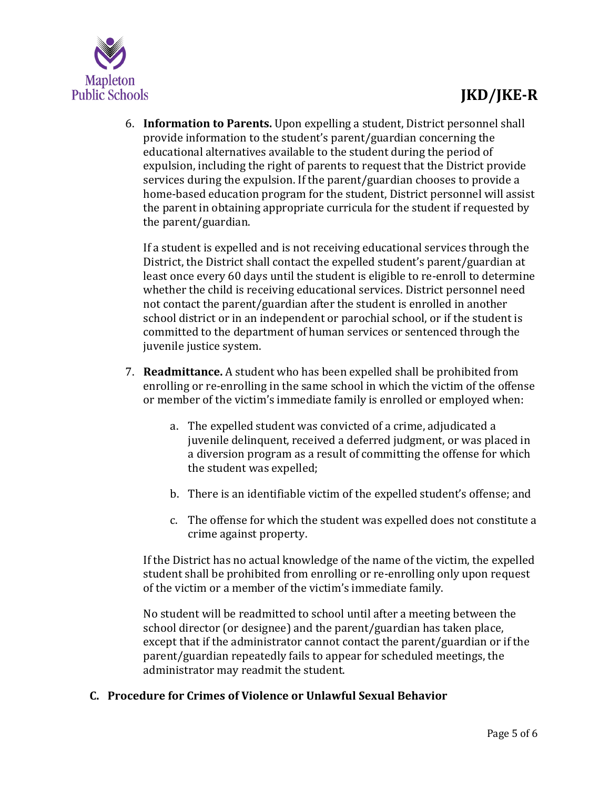

6. **Information to Parents.** Upon expelling a student, District personnel shall provide information to the student's parent/guardian concerning the educational alternatives available to the student during the period of expulsion, including the right of parents to request that the District provide services during the expulsion. If the parent/guardian chooses to provide a home‐based education program for the student, District personnel will assist the parent in obtaining appropriate curricula for the student if requested by the parent/guardian.

If a student is expelled and is not receiving educational services through the District, the District shall contact the expelled student's parent/guardian at least once every 60 days until the student is eligible to re-enroll to determine whether the child is receiving educational services. District personnel need not contact the parent/guardian after the student is enrolled in another school district or in an independent or parochial school, or if the student is committed to the department of human services or sentenced through the juvenile justice system.

- 7. **Readmittance.** A student who has been expelled shall be prohibited from enrolling or re‐enrolling in the same school in which the victim of the offense or member of the victim's immediate family is enrolled or employed when:
	- a. The expelled student was convicted of a crime, adjudicated a juvenile delinquent, received a deferred judgment, or was placed in a diversion program as a result of committing the offense for which the student was expelled;
	- b. There is an identifiable victim of the expelled student's offense; and
	- c. The offense for which the student was expelled does not constitute a crime against property.

If the District has no actual knowledge of the name of the victim, the expelled student shall be prohibited from enrolling or re‐enrolling only upon request of the victim or a member of the victim's immediate family.

No student will be readmitted to school until after a meeting between the school director (or designee) and the parent/guardian has taken place, except that if the administrator cannot contact the parent/guardian or if the parent/guardian repeatedly fails to appear for scheduled meetings, the administrator may readmit the student.

## **C. Procedure for Crimes of Violence or Unlawful Sexual Behavior**